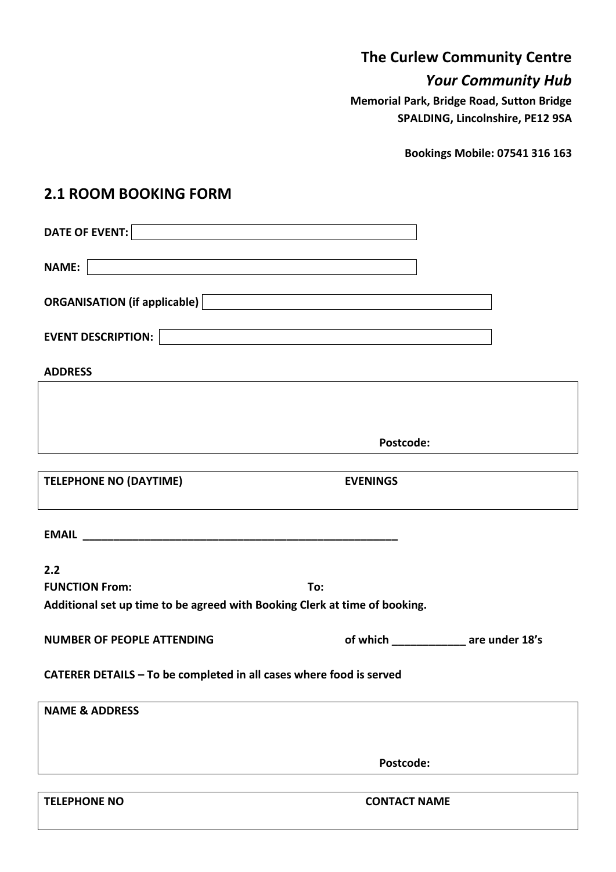## **The Curlew Community Centre**

## *Your Community Hub*

**Memorial Park, Bridge Road, Sutton Bridge SPALDING, Lincolnshire, PE12 9SA**

**Bookings Mobile: 07541 316 163**

## **2.1 ROOM BOOKING FORM**

| <u> 1989 - Andrea Barbara, amerikan basar dan berasal dalam berasal dalam berasal dalam berasal dalam berasal da</u>                                                                                                           |                                       |  |
|--------------------------------------------------------------------------------------------------------------------------------------------------------------------------------------------------------------------------------|---------------------------------------|--|
| ORGANISATION (if applicable) <b>DECONSTRESS (EXECUTE: 1)</b>                                                                                                                                                                   |                                       |  |
| EVENT DESCRIPTION: LATER LATER AND THE RESERVE OF A SERIES OF A SERIES OF A SERIES OF A SERIES OF A SERIES OF A SERIES OF A SERIES OF A SERIES OF A SERIES OF A SERIES OF A SERIES OF A SERIES OF A SERIES OF A SERIES OF A SE |                                       |  |
| <b>ADDRESS</b>                                                                                                                                                                                                                 |                                       |  |
|                                                                                                                                                                                                                                |                                       |  |
|                                                                                                                                                                                                                                | Postcode:                             |  |
| <b>TELEPHONE NO (DAYTIME)</b>                                                                                                                                                                                                  | <b>EVENINGS</b>                       |  |
|                                                                                                                                                                                                                                |                                       |  |
|                                                                                                                                                                                                                                |                                       |  |
| 2.2                                                                                                                                                                                                                            |                                       |  |
| <b>FUNCTION From:</b>                                                                                                                                                                                                          | To:                                   |  |
| Additional set up time to be agreed with Booking Clerk at time of booking.                                                                                                                                                     |                                       |  |
| <b>NUMBER OF PEOPLE ATTENDING</b>                                                                                                                                                                                              | of which _____________ are under 18's |  |
| CATERER DETAILS - To be completed in all cases where food is served                                                                                                                                                            |                                       |  |
| <b>NAME &amp; ADDRESS</b>                                                                                                                                                                                                      |                                       |  |
|                                                                                                                                                                                                                                |                                       |  |
|                                                                                                                                                                                                                                | Postcode:                             |  |
| <b>TELEPHONE NO</b>                                                                                                                                                                                                            | <b>CONTACT NAME</b>                   |  |